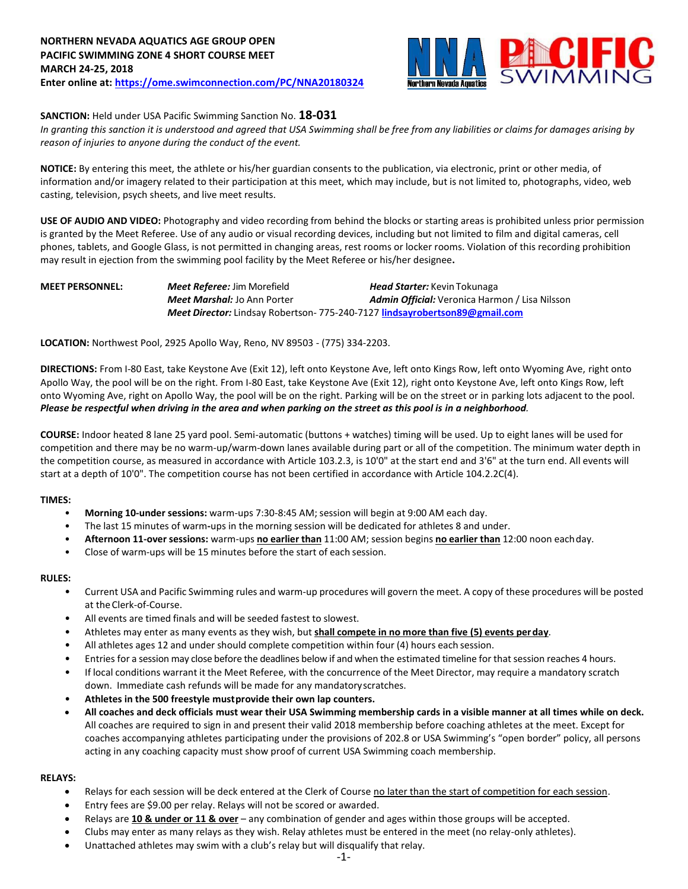

## **SANCTION:** Held under USA Pacific Swimming Sanction No. **18-031**

*In granting this sanction it is understood and agreed that USA Swimming shall be free from any liabilities or claims for damages arising by reason of injuries to anyone during the conduct of the event.*

**NOTICE:** By entering this meet, the athlete or his/her guardian consents to the publication, via electronic, print or other media, of information and/or imagery related to their participation at this meet, which may include, but is not limited to, photographs, video, web casting, television, psych sheets, and live meet results.

**USE OF AUDIO AND VIDEO:** Photography and video recording from behind the blocks or starting areas is prohibited unless prior permission is granted by the Meet Referee. Use of any audio or visual recording devices, including but not limited to film and digital cameras, cell phones, tablets, and Google Glass, is not permitted in changing areas, rest rooms or locker rooms. Violation of this recording prohibition may result in ejection from the swimming pool facility by the Meet Referee or his/her designee**.**

## **MEET PERSONNEL:** *Meet Referee:* Jim Morefield *Head Starter:* Kevin Tokunaga *Meet Marshal:* Jo Ann Porter *Admin Official:* Veronica Harmon / Lisa Nilsson *Meet Director:* Lindsay Robertson- 775-240-7127 **lindsayrobertson89@gmail.com**

**LOCATION:** Northwest Pool, 2925 Apollo Way, Reno, NV 89503 - (775) 334-2203.

**DIRECTIONS:** From I-80 East, take Keystone Ave (Exit 12), left onto Keystone Ave, left onto Kings Row, left onto Wyoming Ave, right onto Apollo Way, the pool will be on the right. From I-80 East, take Keystone Ave (Exit 12), right onto Keystone Ave, left onto Kings Row, left onto Wyoming Ave, right on Apollo Way, the pool will be on the right. Parking will be on the street or in parking lots adjacent to the pool. *Please be respectful when driving in the area and when parking on the street as this pool is in a neighborhood.*

**COURSE:** Indoor heated 8 lane 25 yard pool. Semi-automatic (buttons + watches) timing will be used. Up to eight lanes will be used for competition and there may be no warm-up/warm-down lanes available during part or all of the competition. The minimum water depth in the competition course, as measured in accordance with Article 103.2.3, is 10'0" at the start end and 3'6" at the turn end. All events will start at a depth of 10'0". The competition course has not been certified in accordance with Article 104.2.2C(4).

### **TIMES:**

- **Morning 10-under sessions:** warm-ups 7:30-8:45 AM; session will begin at 9:00 AM each day.
- The last 15 minutes of warm**-**ups in the morning session will be dedicated for athletes 8 and under.
- **Afternoon 11-over sessions:** warm-ups **no earlier than** 11:00 AM; session begins **no earlier than** 12:00 noon eachday.
- Close of warm-ups will be 15 minutes before the start of each session.

### **RULES:**

- Current USA and Pacific Swimming rules and warm-up procedures will govern the meet. A copy of these procedures will be posted at the Clerk-of-Course.
- All events are timed finals and will be seeded fastest to slowest.
- Athletes may enter as many events as they wish, but **shall compete in no more than five (5) events perday**.
- All athletes ages 12 and under should complete competition within four (4) hours each session.
- Entries for a session may close before the deadlines below if and when the estimated timeline for that session reaches 4 hours.
- If local conditions warrant it the Meet Referee, with the concurrence of the Meet Director, may require a mandatory scratch down. Immediate cash refunds will be made for any mandatoryscratches.
- **Athletes in the 500 freestyle mustprovide their own lap counters.**
- **All coaches and deck officials must wear their USA Swimming membership cards in a visible manner at all times while on deck.** All coaches are required to sign in and present their valid 2018 membership before coaching athletes at the meet. Except for coaches accompanying athletes participating under the provisions of 202.8 or USA Swimming's "open border" policy, all persons acting in any coaching capacity must show proof of current USA Swimming coach membership.

### **RELAYS:**

- Relays for each session will be deck entered at the Clerk of Course no later than the start of competition for each session.
- Entry fees are \$9.00 per relay. Relays will not be scored or awarded.
- Relays are **10 & under or 11 & over** any combination of gender and ages within those groups will be accepted.
- Clubs may enter as many relays as they wish. Relay athletes must be entered in the meet (no relay-only athletes).
- Unattached athletes may swim with a club's relay but will disqualify that relay.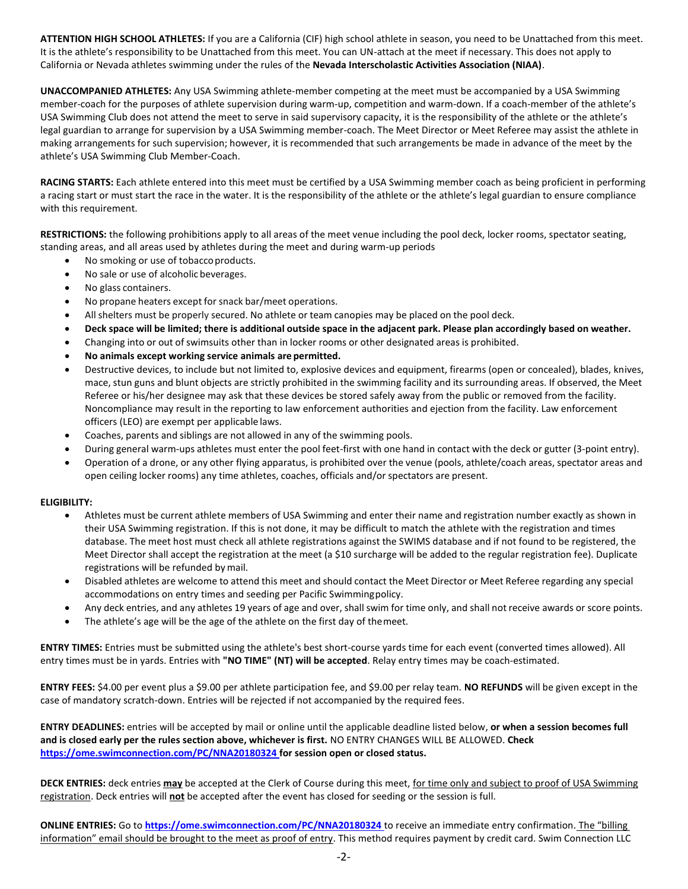**ATTENTION HIGH SCHOOL ATHLETES:** If you are a California (CIF) high school athlete in season, you need to be Unattached from this meet. It is the athlete's responsibility to be Unattached from this meet. You can UN-attach at the meet if necessary. This does not apply to California or Nevada athletes swimming under the rules of the **Nevada Interscholastic Activities Association (NIAA)**.

**UNACCOMPANIED ATHLETES:** Any USA Swimming athlete-member competing at the meet must be accompanied by a USA Swimming member-coach for the purposes of athlete supervision during warm-up, competition and warm-down. If a coach-member of the athlete's USA Swimming Club does not attend the meet to serve in said supervisory capacity, it is the responsibility of the athlete or the athlete's legal guardian to arrange for supervision by a USA Swimming member-coach. The Meet Director or Meet Referee may assist the athlete in making arrangements for such supervision; however, it is recommended that such arrangements be made in advance of the meet by the athlete's USA Swimming Club Member-Coach.

**RACING STARTS:** Each athlete entered into this meet must be certified by a USA Swimming member coach as being proficient in performing a racing start or must start the race in the water. It is the responsibility of the athlete or the athlete's legal guardian to ensure compliance with this requirement.

**RESTRICTIONS:** the following prohibitions apply to all areas of the meet venue including the pool deck, locker rooms, spectator seating, standing areas, and all areas used by athletes during the meet and during warm-up periods

- No smoking or use of tobacco products.
- No sale or use of alcoholic beverages.
- No glass containers.
- No propane heaters except for snack bar/meet operations.
- All shelters must be properly secured. No athlete or team canopies may be placed on the pool deck.
- Deck space will be limited; there is additional outside space in the adjacent park. Please plan accordingly based on weather.
- Changing into or out of swimsuits other than in locker rooms or other designated areas is prohibited.
- **No animals except working service animals are permitted.**
- Destructive devices, to include but not limited to, explosive devices and equipment, firearms (open or concealed), blades, knives, mace, stun guns and blunt objects are strictly prohibited in the swimming facility and its surrounding areas. If observed, the Meet Referee or his/her designee may ask that these devices be stored safely away from the public or removed from the facility. Noncompliance may result in the reporting to law enforcement authorities and ejection from the facility. Law enforcement officers (LEO) are exempt per applicable laws.
- Coaches, parents and siblings are not allowed in any of the swimming pools.
- During general warm-ups athletes must enter the pool feet-first with one hand in contact with the deck or gutter (3-point entry).
- Operation of a drone, or any other flying apparatus, is prohibited over the venue (pools, athlete/coach areas, spectator areas and open ceiling locker rooms) any time athletes, coaches, officials and/or spectators are present.

### **ELIGIBILITY:**

- Athletes must be current athlete members of USA Swimming and enter their name and registration number exactly as shown in their USA Swimming registration. If this is not done, it may be difficult to match the athlete with the registration and times database. The meet host must check all athlete registrations against the SWIMS database and if not found to be registered, the Meet Director shall accept the registration at the meet (a \$10 surcharge will be added to the regular registration fee). Duplicate registrations will be refunded bymail.
- Disabled athletes are welcome to attend this meet and should contact the Meet Director or Meet Referee regarding any special accommodations on entry times and seeding per Pacific Swimmingpolicy.
- Any deck entries, and any athletes 19 years of age and over, shall swim for time only, and shall not receive awards or score points.
- The athlete's age will be the age of the athlete on the first day of themeet.

**ENTRY TIMES:** Entries must be submitted using the athlete's best short-course yards time for each event (converted times allowed). All entry times must be in yards. Entries with **"NO TIME" (NT) will be accepted**. Relay entry times may be coach-estimated.

**ENTRY FEES:** \$4.00 per event plus a \$9.00 per athlete participation fee, and \$9.00 per relay team. **NO REFUNDS** will be given except in the case of mandatory scratch-down. Entries will be rejected if not accompanied by the required fees.

**ENTRY DEADLINES:** entries will be accepted by mail or online until the applicable deadline listed below, **or when a session becomes full and is closed early per the rules section above, whichever is first.** NO ENTRY CHANGES WILL BE ALLOWED. **Check <https://ome.swimconnection.com/PC/NNA20180324> for session open or closed status.**

**DECK ENTRIES:** deck entries **may** be accepted at the Clerk of Course during this meet, for time only and subject to proof of USA Swimming registration. Deck entries will **not** be accepted after the event has closed for seeding or the session is full.

**ONLINE ENTRIES:** Go to **<https://ome.swimconnection.com/PC/NNA20180324>** to receive an immediate entry confirmation. The "billing information" email should be brought to the meet as proof of entry. This method requires payment by credit card. Swim Connection LLC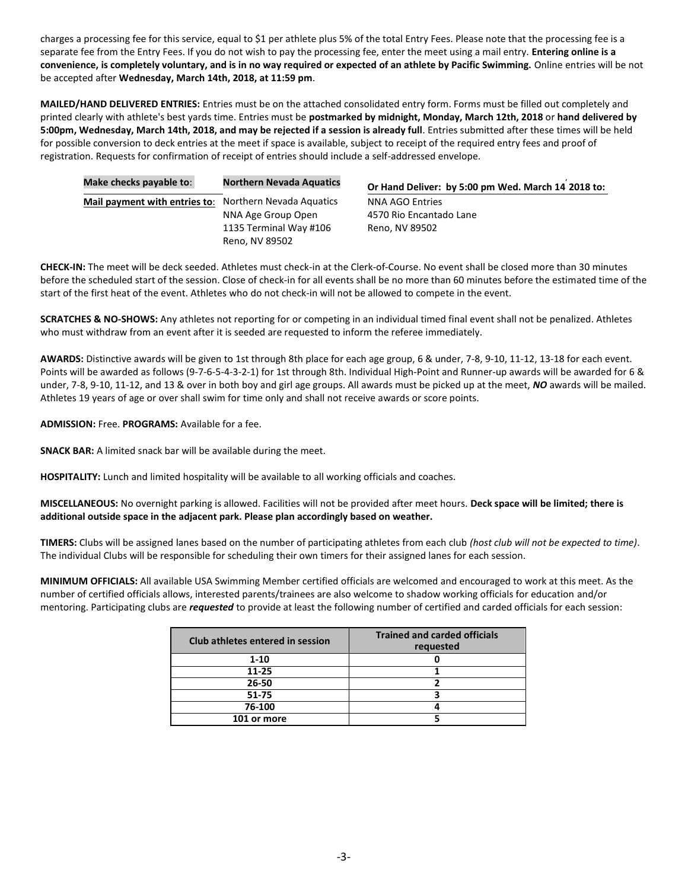charges a processing fee for this service, equal to \$1 per athlete plus 5% of the total Entry Fees. Please note that the processing fee is a separate fee from the Entry Fees. If you do not wish to pay the processing fee, enter the meet using a mail entry. **Entering online is a convenience, is completely voluntary, and is in no way required or expected of an athlete by Pacific Swimming.** Online entries will be not be accepted after **Wednesday, March 14th, 2018, at 11:59 pm**.

**MAILED/HAND DELIVERED ENTRIES:** Entries must be on the attached consolidated entry form. Forms must be filled out completely and printed clearly with athlete's best yards time. Entries must be **postmarked by midnight, Monday, March 12th, 2018** or **hand delivered by 5:00pm, Wednesday, March 14th, 2018, and may be rejected if a session is already full**. Entries submitted after these times will be held for possible conversion to deck entries at the meet if space is available, subject to receipt of the required entry fees and proof of registration. Requests for confirmation of receipt of entries should include a self-addressed envelope.

| Make checks payable to:       | <b>Northern Nevada Aquatics</b> | Or Hand Deliver: by 5:00 pm Wed. March 14 2018 to: |
|-------------------------------|---------------------------------|----------------------------------------------------|
| Mail payment with entries to: | Northern Nevada Aquatics        | NNA AGO Entries                                    |
|                               | NNA Age Group Open              | 4570 Rio Encantado Lane                            |
|                               | 1135 Terminal Way #106          | Reno, NV 89502                                     |
|                               | Reno, NV 89502                  |                                                    |

**CHECK-IN:** The meet will be deck seeded. Athletes must check-in at the Clerk-of-Course. No event shall be closed more than 30 minutes before the scheduled start of the session. Close of check-in for all events shall be no more than 60 minutes before the estimated time of the start of the first heat of the event. Athletes who do not check-in will not be allowed to compete in the event.

**SCRATCHES & NO-SHOWS:** Any athletes not reporting for or competing in an individual timed final event shall not be penalized. Athletes who must withdraw from an event after it is seeded are requested to inform the referee immediately.

**AWARDS:** Distinctive awards will be given to 1st through 8th place for each age group, 6 & under, 7-8, 9-10, 11-12, 13-18 for each event. Points will be awarded as follows (9-7-6-5-4-3-2-1) for 1st through 8th. Individual High-Point and Runner-up awards will be awarded for 6 & under, 7-8, 9-10, 11-12, and 13 & over in both boy and girl age groups. All awards must be picked up at the meet, *NO* awards will be mailed. Athletes 19 years of age or over shall swim for time only and shall not receive awards or score points.

**ADMISSION:** Free. **PROGRAMS:** Available for a fee.

**SNACK BAR:** A limited snack bar will be available during the meet.

**HOSPITALITY:** Lunch and limited hospitality will be available to all working officials and coaches.

**MISCELLANEOUS:** No overnight parking is allowed. Facilities will not be provided after meet hours. **Deck space will be limited; there is additional outside space in the adjacent park. Please plan accordingly based on weather.**

**TIMERS:** Clubs will be assigned lanes based on the number of participating athletes from each club *(host club will not be expected to time)*. The individual Clubs will be responsible for scheduling their own timers for their assigned lanes for each session.

**MINIMUM OFFICIALS:** All available USA Swimming Member certified officials are welcomed and encouraged to work at this meet. As the number of certified officials allows, interested parents/trainees are also welcome to shadow working officials for education and/or mentoring. Participating clubs are *requested* to provide at least the following number of certified and carded officials for each session:

| Club athletes entered in session | <b>Trained and carded officials</b><br>requested |  |  |  |  |  |
|----------------------------------|--------------------------------------------------|--|--|--|--|--|
| $1 - 10$                         |                                                  |  |  |  |  |  |
| 11-25                            |                                                  |  |  |  |  |  |
| 26-50                            |                                                  |  |  |  |  |  |
| $51 - 75$                        |                                                  |  |  |  |  |  |
| 76-100                           |                                                  |  |  |  |  |  |
| 101 or more                      |                                                  |  |  |  |  |  |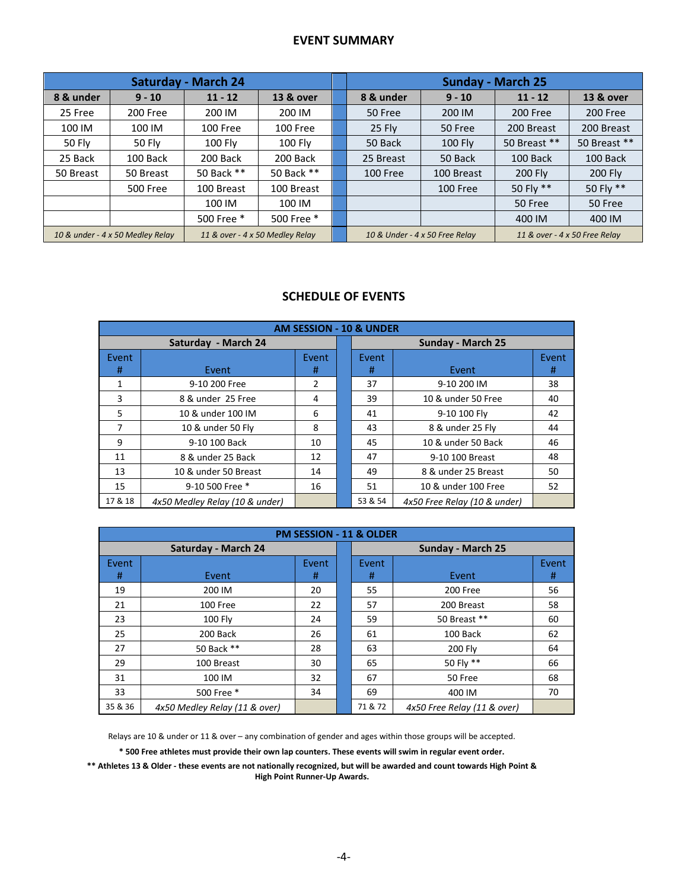# **EVENT SUMMARY**

| <b>Saturday - March 24</b>                                          |                 |            |                                                                 |  | <b>Sunday - March 25</b> |                |                |              |  |
|---------------------------------------------------------------------|-----------------|------------|-----------------------------------------------------------------|--|--------------------------|----------------|----------------|--------------|--|
| 8 & under                                                           | $9 - 10$        | $11 - 12$  | 13 & over                                                       |  | 8 & under                | $9 - 10$       | $11 - 12$      | 13 & over    |  |
| 25 Free                                                             | 200 Free        | 200 IM     | 200 IM                                                          |  | 50 Free                  | 200 IM         | 200 Free       | 200 Free     |  |
| 100 IM                                                              | 100 IM          | 100 Free   | 100 Free                                                        |  | $25$ Fly                 | 50 Free        | 200 Breast     | 200 Breast   |  |
| 50 Fly                                                              | 50 Fly          | 100 Fly    | 100 Fly                                                         |  | 50 Back                  | <b>100 Fly</b> | 50 Breast **   | 50 Breast ** |  |
| 25 Back                                                             | 100 Back        | 200 Back   | 200 Back                                                        |  | 25 Breast                | 50 Back        | 100 Back       | 100 Back     |  |
| 50 Breast                                                           | 50 Breast       | 50 Back ** | 50 Back **                                                      |  | 100 Free                 | 100 Breast     | <b>200 Flv</b> | 200 Fly      |  |
|                                                                     | <b>500 Free</b> | 100 Breast | 100 Breast                                                      |  |                          | 100 Free       | 50 Fly **      | 50 Fly **    |  |
|                                                                     |                 | 100 IM     | 100 IM                                                          |  |                          |                | 50 Free        | 50 Free      |  |
|                                                                     |                 | 500 Free * | 500 Free *                                                      |  |                          |                | 400 IM         | 400 IM       |  |
| 11 & over - 4 x 50 Medley Relay<br>10 & under - 4 x 50 Medley Relay |                 |            | 10 & Under - 4 x 50 Free Relay<br>11 & over - 4 x 50 Free Relay |  |                          |                |                |              |  |

# **SCHEDULE OF EVENTS**

| <b>AM SESSION - 10 &amp; UNDER</b> |                                |            |                          |            |                              |            |  |  |
|------------------------------------|--------------------------------|------------|--------------------------|------------|------------------------------|------------|--|--|
|                                    | Saturday - March 24            |            | <b>Sunday - March 25</b> |            |                              |            |  |  |
| Event<br>#                         | Event                          | Event<br># |                          | Event<br># | Event                        | Event<br># |  |  |
| 1                                  | 9-10 200 Free                  |            |                          | 37         | 9-10 200 IM                  | 38         |  |  |
| 3                                  | 8 & under 25 Free              | 4          |                          | 39         | 10 & under 50 Free           | 40         |  |  |
| 5                                  | 10 & under 100 IM<br>6         |            |                          | 41         | 9-10 100 Fly                 | 42         |  |  |
| 7                                  | 10 & under 50 Fly              | 8          |                          | 43         | 8 & under 25 Fly             | 44         |  |  |
| 9                                  | 9-10 100 Back                  | 10         |                          | 45         | 10 & under 50 Back           | 46         |  |  |
| 11                                 | 8 & under 25 Back              | 12         |                          | 47         | 9-10 100 Breast              | 48         |  |  |
| 13                                 | 10 & under 50 Breast           | 14         |                          | 49         | 8 & under 25 Breast          | 50         |  |  |
| 15                                 | 9-10 500 Free *                | 16         |                          | 51         | 10 & under 100 Free          | 52         |  |  |
| 17 & 18                            | 4x50 Medley Relay (10 & under) |            |                          | 53 & 54    | 4x50 Free Relay (10 & under) |            |  |  |

|            | <b>PM SESSION - 11 &amp; OLDER</b> |            |                   |            |                             |            |  |  |  |
|------------|------------------------------------|------------|-------------------|------------|-----------------------------|------------|--|--|--|
|            | Saturday - March 24                |            | Sunday - March 25 |            |                             |            |  |  |  |
| Event<br># | Event                              | Event<br># |                   | Event<br># | Event                       | Event<br># |  |  |  |
| 19         | 200 IM                             | 20         |                   | 55         | 200 Free                    | 56         |  |  |  |
| 21         | 100 Free                           | 22         |                   | 57         | 200 Breast                  | 58         |  |  |  |
| 23         | <b>100 Flv</b>                     | 24         |                   | 59         | 50 Breast **                | 60         |  |  |  |
| 25         | 200 Back                           | 26         |                   | 61         | 100 Back                    | 62         |  |  |  |
| 27         | 50 Back **                         | 28         |                   | 63         | 200 Fly                     | 64         |  |  |  |
| 29         | 100 Breast                         | 30         |                   | 65         | 50 Fly **                   | 66         |  |  |  |
| 31         | 100 IM                             | 32         |                   | 67         | 50 Free                     | 68         |  |  |  |
| 33         | 500 Free *                         | 34         |                   | 69         | 400 IM                      | 70         |  |  |  |
| 35 & 36    | 4x50 Medley Relay (11 & over)      |            |                   | 71 & 72    | 4x50 Free Relay (11 & over) |            |  |  |  |

Relays are 10 & under or 11 & over – any combination of gender and ages within those groups will be accepted.

**\* 500 Free athletes must provide their own lap counters. These events will swim in regular event order.**

**\*\* Athletes 13 & Older - these events are not nationally recognized, but will be awarded and count towards High Point & High Point Runner-Up Awards.**